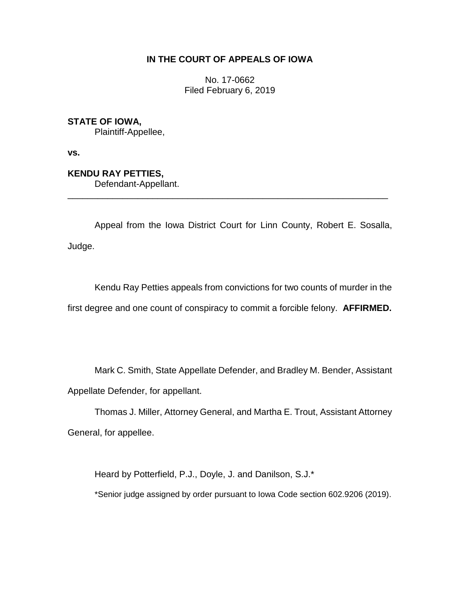# **IN THE COURT OF APPEALS OF IOWA**

No. 17-0662 Filed February 6, 2019

**STATE OF IOWA,**

Plaintiff-Appellee,

**vs.**

**KENDU RAY PETTIES,**

Defendant-Appellant.

Appeal from the Iowa District Court for Linn County, Robert E. Sosalla, Judge.

\_\_\_\_\_\_\_\_\_\_\_\_\_\_\_\_\_\_\_\_\_\_\_\_\_\_\_\_\_\_\_\_\_\_\_\_\_\_\_\_\_\_\_\_\_\_\_\_\_\_\_\_\_\_\_\_\_\_\_\_\_\_\_\_

Kendu Ray Petties appeals from convictions for two counts of murder in the first degree and one count of conspiracy to commit a forcible felony. **AFFIRMED.**

Mark C. Smith, State Appellate Defender, and Bradley M. Bender, Assistant Appellate Defender, for appellant.

Thomas J. Miller, Attorney General, and Martha E. Trout, Assistant Attorney General, for appellee.

Heard by Potterfield, P.J., Doyle, J. and Danilson, S.J.\*

\*Senior judge assigned by order pursuant to Iowa Code section 602.9206 (2019).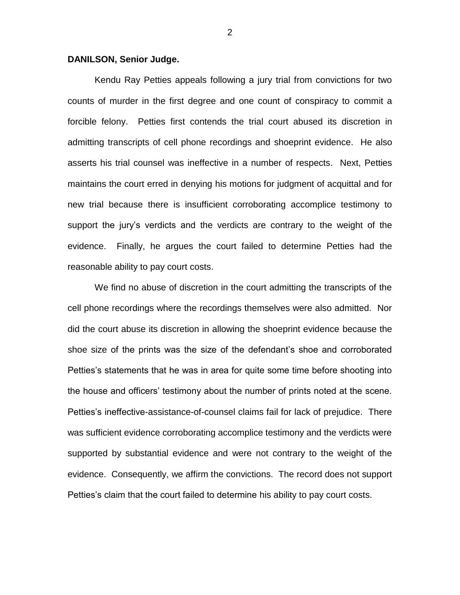## **DANILSON, Senior Judge.**

Kendu Ray Petties appeals following a jury trial from convictions for two counts of murder in the first degree and one count of conspiracy to commit a forcible felony. Petties first contends the trial court abused its discretion in admitting transcripts of cell phone recordings and shoeprint evidence. He also asserts his trial counsel was ineffective in a number of respects. Next, Petties maintains the court erred in denying his motions for judgment of acquittal and for new trial because there is insufficient corroborating accomplice testimony to support the jury's verdicts and the verdicts are contrary to the weight of the evidence. Finally, he argues the court failed to determine Petties had the reasonable ability to pay court costs.

We find no abuse of discretion in the court admitting the transcripts of the cell phone recordings where the recordings themselves were also admitted. Nor did the court abuse its discretion in allowing the shoeprint evidence because the shoe size of the prints was the size of the defendant's shoe and corroborated Petties's statements that he was in area for quite some time before shooting into the house and officers' testimony about the number of prints noted at the scene. Petties's ineffective-assistance-of-counsel claims fail for lack of prejudice. There was sufficient evidence corroborating accomplice testimony and the verdicts were supported by substantial evidence and were not contrary to the weight of the evidence. Consequently, we affirm the convictions. The record does not support Petties's claim that the court failed to determine his ability to pay court costs.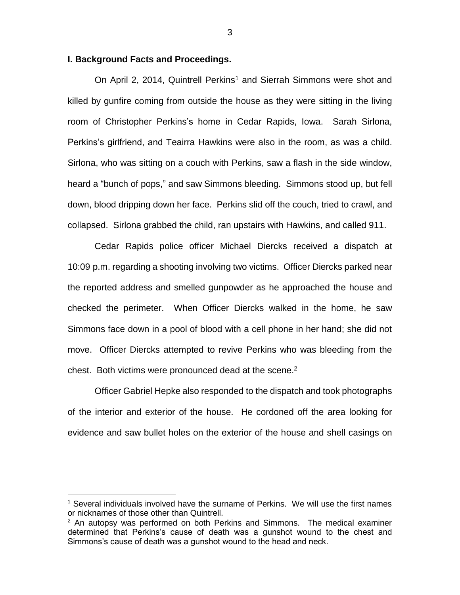## **I. Background Facts and Proceedings.**

On April 2, 2014, Quintrell Perkins<sup>1</sup> and Sierrah Simmons were shot and killed by gunfire coming from outside the house as they were sitting in the living room of Christopher Perkins's home in Cedar Rapids, Iowa. Sarah Sirlona, Perkins's girlfriend, and Teairra Hawkins were also in the room, as was a child. Sirlona, who was sitting on a couch with Perkins, saw a flash in the side window, heard a "bunch of pops," and saw Simmons bleeding. Simmons stood up, but fell down, blood dripping down her face. Perkins slid off the couch, tried to crawl, and collapsed. Sirlona grabbed the child, ran upstairs with Hawkins, and called 911.

Cedar Rapids police officer Michael Diercks received a dispatch at 10:09 p.m. regarding a shooting involving two victims. Officer Diercks parked near the reported address and smelled gunpowder as he approached the house and checked the perimeter. When Officer Diercks walked in the home, he saw Simmons face down in a pool of blood with a cell phone in her hand; she did not move. Officer Diercks attempted to revive Perkins who was bleeding from the chest. Both victims were pronounced dead at the scene. $2$ 

Officer Gabriel Hepke also responded to the dispatch and took photographs of the interior and exterior of the house. He cordoned off the area looking for evidence and saw bullet holes on the exterior of the house and shell casings on

 $\overline{a}$ 

 $<sup>1</sup>$  Several individuals involved have the surname of Perkins. We will use the first names</sup> or nicknames of those other than Quintrell.

 $2$  An autopsy was performed on both Perkins and Simmons. The medical examiner determined that Perkins's cause of death was a gunshot wound to the chest and Simmons's cause of death was a gunshot wound to the head and neck.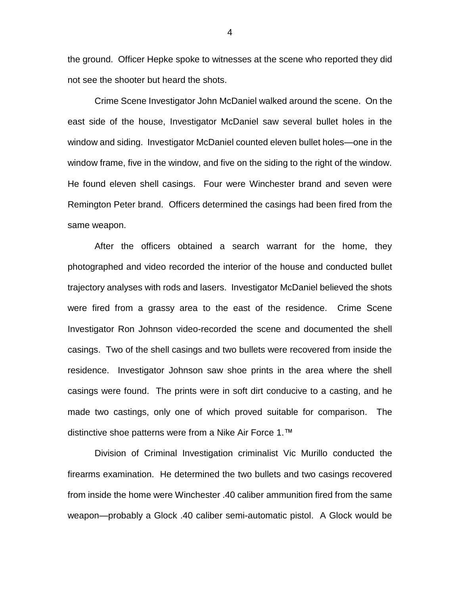the ground. Officer Hepke spoke to witnesses at the scene who reported they did not see the shooter but heard the shots.

Crime Scene Investigator John McDaniel walked around the scene. On the east side of the house, Investigator McDaniel saw several bullet holes in the window and siding. Investigator McDaniel counted eleven bullet holes—one in the window frame, five in the window, and five on the siding to the right of the window. He found eleven shell casings. Four were Winchester brand and seven were Remington Peter brand. Officers determined the casings had been fired from the same weapon.

After the officers obtained a search warrant for the home, they photographed and video recorded the interior of the house and conducted bullet trajectory analyses with rods and lasers. Investigator McDaniel believed the shots were fired from a grassy area to the east of the residence. Crime Scene Investigator Ron Johnson video-recorded the scene and documented the shell casings. Two of the shell casings and two bullets were recovered from inside the residence. Investigator Johnson saw shoe prints in the area where the shell casings were found. The prints were in soft dirt conducive to a casting, and he made two castings, only one of which proved suitable for comparison. The distinctive shoe patterns were from a Nike Air Force 1.™

Division of Criminal Investigation criminalist Vic Murillo conducted the firearms examination. He determined the two bullets and two casings recovered from inside the home were Winchester .40 caliber ammunition fired from the same weapon—probably a Glock .40 caliber semi-automatic pistol. A Glock would be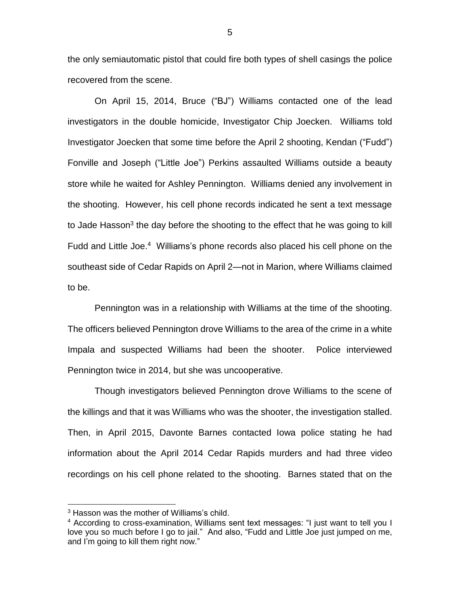the only semiautomatic pistol that could fire both types of shell casings the police recovered from the scene.

On April 15, 2014, Bruce ("BJ") Williams contacted one of the lead investigators in the double homicide, Investigator Chip Joecken. Williams told Investigator Joecken that some time before the April 2 shooting, Kendan ("Fudd") Fonville and Joseph ("Little Joe") Perkins assaulted Williams outside a beauty store while he waited for Ashley Pennington. Williams denied any involvement in the shooting. However, his cell phone records indicated he sent a text message to Jade Hasson<sup>3</sup> the day before the shooting to the effect that he was going to kill Fudd and Little Joe.<sup>4</sup> Williams's phone records also placed his cell phone on the southeast side of Cedar Rapids on April 2—not in Marion, where Williams claimed to be.

Pennington was in a relationship with Williams at the time of the shooting. The officers believed Pennington drove Williams to the area of the crime in a white Impala and suspected Williams had been the shooter. Police interviewed Pennington twice in 2014, but she was uncooperative.

Though investigators believed Pennington drove Williams to the scene of the killings and that it was Williams who was the shooter, the investigation stalled. Then, in April 2015, Davonte Barnes contacted Iowa police stating he had information about the April 2014 Cedar Rapids murders and had three video recordings on his cell phone related to the shooting. Barnes stated that on the

<sup>&</sup>lt;sup>3</sup> Hasson was the mother of Williams's child.

<sup>&</sup>lt;sup>4</sup> According to cross-examination, Williams sent text messages: "I just want to tell you I love you so much before I go to jail." And also, "Fudd and Little Joe just jumped on me, and I'm going to kill them right now."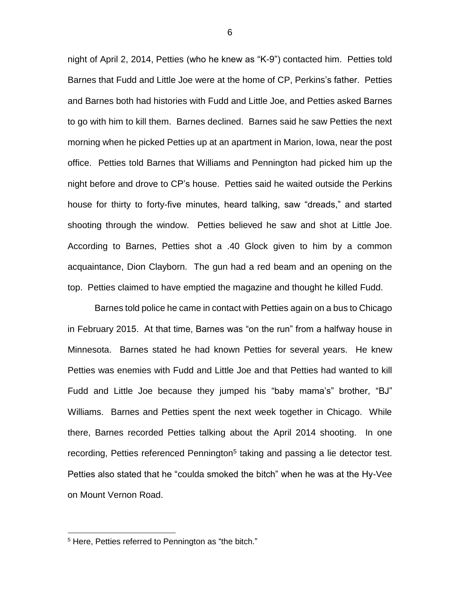night of April 2, 2014, Petties (who he knew as "K-9") contacted him. Petties told Barnes that Fudd and Little Joe were at the home of CP, Perkins's father. Petties and Barnes both had histories with Fudd and Little Joe, and Petties asked Barnes to go with him to kill them. Barnes declined. Barnes said he saw Petties the next morning when he picked Petties up at an apartment in Marion, Iowa, near the post office. Petties told Barnes that Williams and Pennington had picked him up the night before and drove to CP's house. Petties said he waited outside the Perkins house for thirty to forty-five minutes, heard talking, saw "dreads," and started shooting through the window. Petties believed he saw and shot at Little Joe. According to Barnes, Petties shot a .40 Glock given to him by a common acquaintance, Dion Clayborn. The gun had a red beam and an opening on the top. Petties claimed to have emptied the magazine and thought he killed Fudd.

Barnes told police he came in contact with Petties again on a bus to Chicago in February 2015. At that time, Barnes was "on the run" from a halfway house in Minnesota. Barnes stated he had known Petties for several years. He knew Petties was enemies with Fudd and Little Joe and that Petties had wanted to kill Fudd and Little Joe because they jumped his "baby mama's" brother, "BJ" Williams. Barnes and Petties spent the next week together in Chicago. While there, Barnes recorded Petties talking about the April 2014 shooting. In one recording, Petties referenced Pennington<sup>5</sup> taking and passing a lie detector test. Petties also stated that he "coulda smoked the bitch" when he was at the Hy-Vee on Mount Vernon Road.

<sup>&</sup>lt;sup>5</sup> Here, Petties referred to Pennington as "the bitch."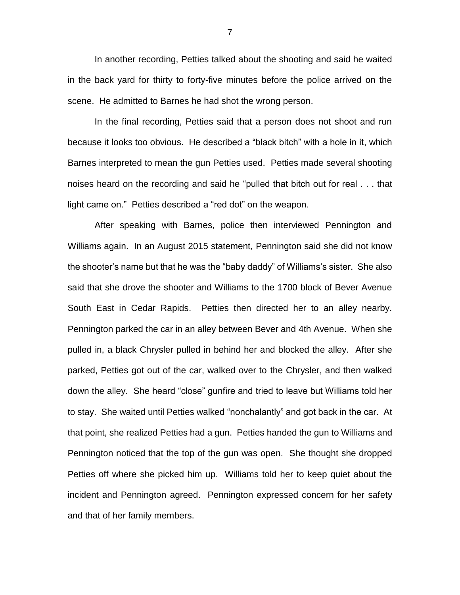In another recording, Petties talked about the shooting and said he waited in the back yard for thirty to forty-five minutes before the police arrived on the scene. He admitted to Barnes he had shot the wrong person.

In the final recording, Petties said that a person does not shoot and run because it looks too obvious. He described a "black bitch" with a hole in it, which Barnes interpreted to mean the gun Petties used. Petties made several shooting noises heard on the recording and said he "pulled that bitch out for real . . . that light came on." Petties described a "red dot" on the weapon.

After speaking with Barnes, police then interviewed Pennington and Williams again. In an August 2015 statement, Pennington said she did not know the shooter's name but that he was the "baby daddy" of Williams's sister. She also said that she drove the shooter and Williams to the 1700 block of Bever Avenue South East in Cedar Rapids. Petties then directed her to an alley nearby. Pennington parked the car in an alley between Bever and 4th Avenue. When she pulled in, a black Chrysler pulled in behind her and blocked the alley. After she parked, Petties got out of the car, walked over to the Chrysler, and then walked down the alley. She heard "close" gunfire and tried to leave but Williams told her to stay. She waited until Petties walked "nonchalantly" and got back in the car. At that point, she realized Petties had a gun. Petties handed the gun to Williams and Pennington noticed that the top of the gun was open. She thought she dropped Petties off where she picked him up. Williams told her to keep quiet about the incident and Pennington agreed. Pennington expressed concern for her safety and that of her family members.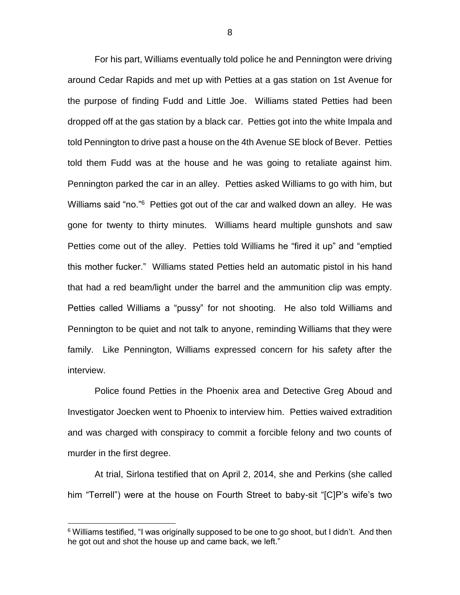For his part, Williams eventually told police he and Pennington were driving around Cedar Rapids and met up with Petties at a gas station on 1st Avenue for the purpose of finding Fudd and Little Joe. Williams stated Petties had been dropped off at the gas station by a black car. Petties got into the white Impala and told Pennington to drive past a house on the 4th Avenue SE block of Bever. Petties told them Fudd was at the house and he was going to retaliate against him. Pennington parked the car in an alley. Petties asked Williams to go with him, but Williams said "no."<sup>6</sup> Petties got out of the car and walked down an alley. He was gone for twenty to thirty minutes. Williams heard multiple gunshots and saw Petties come out of the alley. Petties told Williams he "fired it up" and "emptied this mother fucker." Williams stated Petties held an automatic pistol in his hand that had a red beam/light under the barrel and the ammunition clip was empty. Petties called Williams a "pussy" for not shooting. He also told Williams and Pennington to be quiet and not talk to anyone, reminding Williams that they were family. Like Pennington, Williams expressed concern for his safety after the interview.

Police found Petties in the Phoenix area and Detective Greg Aboud and Investigator Joecken went to Phoenix to interview him. Petties waived extradition and was charged with conspiracy to commit a forcible felony and two counts of murder in the first degree.

At trial, Sirlona testified that on April 2, 2014, she and Perkins (she called him "Terrell") were at the house on Fourth Street to baby-sit "[C]P's wife's two

 $6$  Williams testified, "I was originally supposed to be one to go shoot, but I didn't. And then he got out and shot the house up and came back, we left."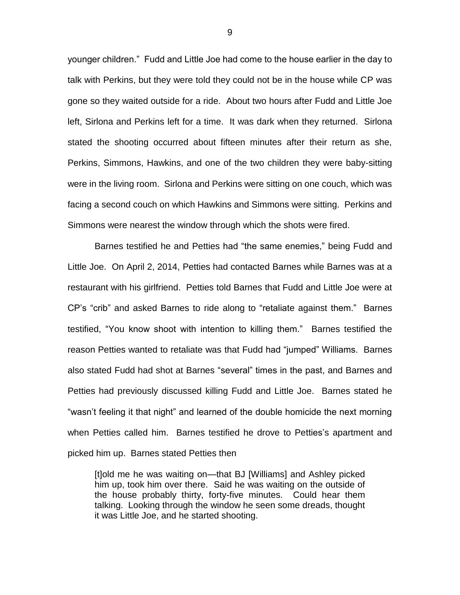younger children." Fudd and Little Joe had come to the house earlier in the day to talk with Perkins, but they were told they could not be in the house while CP was gone so they waited outside for a ride. About two hours after Fudd and Little Joe left, Sirlona and Perkins left for a time. It was dark when they returned. Sirlona stated the shooting occurred about fifteen minutes after their return as she, Perkins, Simmons, Hawkins, and one of the two children they were baby-sitting were in the living room. Sirlona and Perkins were sitting on one couch, which was facing a second couch on which Hawkins and Simmons were sitting. Perkins and Simmons were nearest the window through which the shots were fired.

Barnes testified he and Petties had "the same enemies," being Fudd and Little Joe. On April 2, 2014, Petties had contacted Barnes while Barnes was at a restaurant with his girlfriend. Petties told Barnes that Fudd and Little Joe were at CP's "crib" and asked Barnes to ride along to "retaliate against them." Barnes testified, "You know shoot with intention to killing them." Barnes testified the reason Petties wanted to retaliate was that Fudd had "jumped" Williams. Barnes also stated Fudd had shot at Barnes "several" times in the past, and Barnes and Petties had previously discussed killing Fudd and Little Joe. Barnes stated he "wasn't feeling it that night" and learned of the double homicide the next morning when Petties called him. Barnes testified he drove to Petties's apartment and picked him up. Barnes stated Petties then

[t]old me he was waiting on—that BJ [Williams] and Ashley picked him up, took him over there. Said he was waiting on the outside of the house probably thirty, forty-five minutes. Could hear them talking. Looking through the window he seen some dreads, thought it was Little Joe, and he started shooting.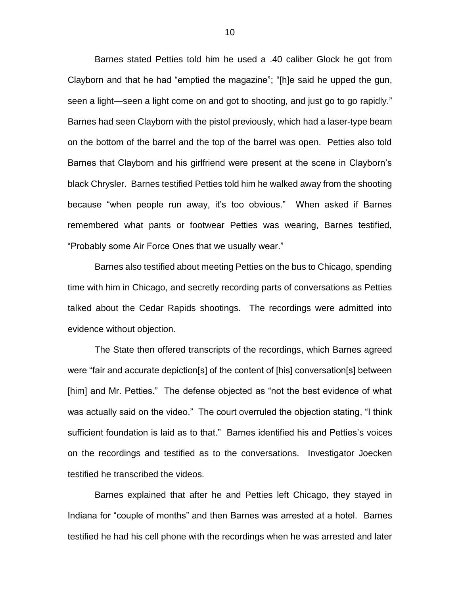Barnes stated Petties told him he used a .40 caliber Glock he got from Clayborn and that he had "emptied the magazine"; "[h]e said he upped the gun, seen a light—seen a light come on and got to shooting, and just go to go rapidly." Barnes had seen Clayborn with the pistol previously, which had a laser-type beam on the bottom of the barrel and the top of the barrel was open. Petties also told Barnes that Clayborn and his girlfriend were present at the scene in Clayborn's black Chrysler. Barnes testified Petties told him he walked away from the shooting because "when people run away, it's too obvious." When asked if Barnes remembered what pants or footwear Petties was wearing, Barnes testified, "Probably some Air Force Ones that we usually wear."

Barnes also testified about meeting Petties on the bus to Chicago, spending time with him in Chicago, and secretly recording parts of conversations as Petties talked about the Cedar Rapids shootings. The recordings were admitted into evidence without objection.

The State then offered transcripts of the recordings, which Barnes agreed were "fair and accurate depiction[s] of the content of [his] conversation[s] between [him] and Mr. Petties." The defense objected as "not the best evidence of what was actually said on the video." The court overruled the objection stating, "I think sufficient foundation is laid as to that." Barnes identified his and Petties's voices on the recordings and testified as to the conversations. Investigator Joecken testified he transcribed the videos.

Barnes explained that after he and Petties left Chicago, they stayed in Indiana for "couple of months" and then Barnes was arrested at a hotel. Barnes testified he had his cell phone with the recordings when he was arrested and later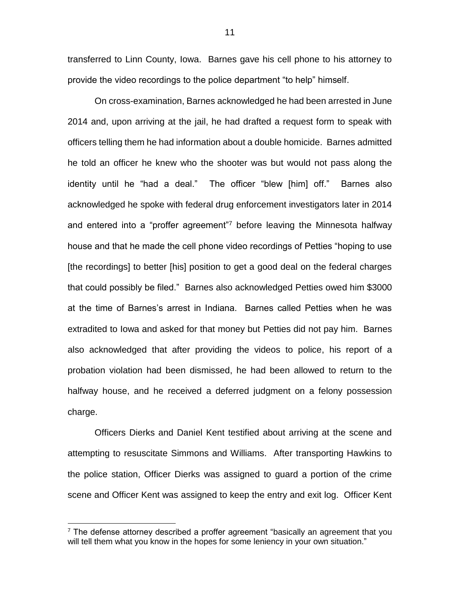transferred to Linn County, Iowa. Barnes gave his cell phone to his attorney to provide the video recordings to the police department "to help" himself.

On cross-examination, Barnes acknowledged he had been arrested in June 2014 and, upon arriving at the jail, he had drafted a request form to speak with officers telling them he had information about a double homicide. Barnes admitted he told an officer he knew who the shooter was but would not pass along the identity until he "had a deal." The officer "blew [him] off." Barnes also acknowledged he spoke with federal drug enforcement investigators later in 2014 and entered into a "proffer agreement"<sup>7</sup> before leaving the Minnesota halfway house and that he made the cell phone video recordings of Petties "hoping to use [the recordings] to better [his] position to get a good deal on the federal charges that could possibly be filed." Barnes also acknowledged Petties owed him \$3000 at the time of Barnes's arrest in Indiana. Barnes called Petties when he was extradited to Iowa and asked for that money but Petties did not pay him. Barnes also acknowledged that after providing the videos to police, his report of a probation violation had been dismissed, he had been allowed to return to the halfway house, and he received a deferred judgment on a felony possession charge.

Officers Dierks and Daniel Kent testified about arriving at the scene and attempting to resuscitate Simmons and Williams. After transporting Hawkins to the police station, Officer Dierks was assigned to guard a portion of the crime scene and Officer Kent was assigned to keep the entry and exit log. Officer Kent

 $7$  The defense attorney described a proffer agreement "basically an agreement that you will tell them what you know in the hopes for some leniency in your own situation."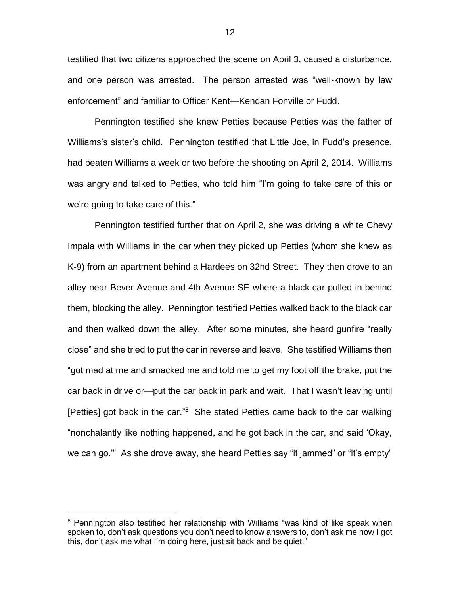testified that two citizens approached the scene on April 3, caused a disturbance, and one person was arrested. The person arrested was "well-known by law enforcement" and familiar to Officer Kent—Kendan Fonville or Fudd.

Pennington testified she knew Petties because Petties was the father of Williams's sister's child. Pennington testified that Little Joe, in Fudd's presence, had beaten Williams a week or two before the shooting on April 2, 2014. Williams was angry and talked to Petties, who told him "I'm going to take care of this or we're going to take care of this."

Pennington testified further that on April 2, she was driving a white Chevy Impala with Williams in the car when they picked up Petties (whom she knew as K-9) from an apartment behind a Hardees on 32nd Street. They then drove to an alley near Bever Avenue and 4th Avenue SE where a black car pulled in behind them, blocking the alley. Pennington testified Petties walked back to the black car and then walked down the alley. After some minutes, she heard gunfire "really close" and she tried to put the car in reverse and leave. She testified Williams then "got mad at me and smacked me and told me to get my foot off the brake, put the car back in drive or—put the car back in park and wait. That I wasn't leaving until [Petties] got back in the car."<sup>8</sup> She stated Petties came back to the car walking "nonchalantly like nothing happened, and he got back in the car, and said 'Okay, we can go.'" As she drove away, she heard Petties say "it jammed" or "it's empty"

<sup>&</sup>lt;sup>8</sup> Pennington also testified her relationship with Williams "was kind of like speak when spoken to, don't ask questions you don't need to know answers to, don't ask me how I got this, don't ask me what I'm doing here, just sit back and be quiet."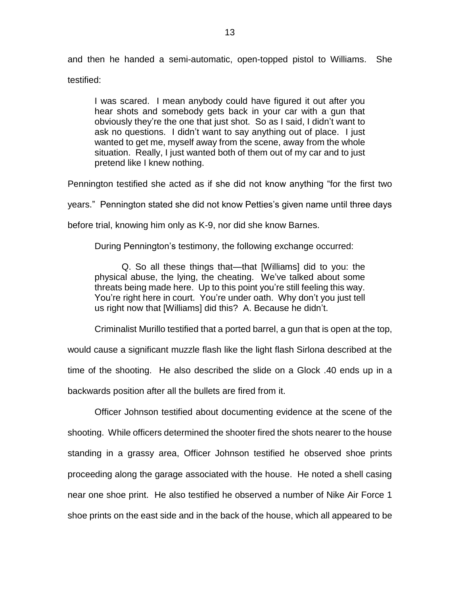and then he handed a semi-automatic, open-topped pistol to Williams. She testified:

I was scared. I mean anybody could have figured it out after you hear shots and somebody gets back in your car with a gun that obviously they're the one that just shot. So as I said, I didn't want to ask no questions. I didn't want to say anything out of place. I just wanted to get me, myself away from the scene, away from the whole situation. Really, I just wanted both of them out of my car and to just pretend like I knew nothing.

Pennington testified she acted as if she did not know anything "for the first two

years." Pennington stated she did not know Petties's given name until three days

before trial, knowing him only as K-9, nor did she know Barnes.

During Pennington's testimony, the following exchange occurred:

Q. So all these things that—that [Williams] did to you: the physical abuse, the lying, the cheating. We've talked about some threats being made here. Up to this point you're still feeling this way. You're right here in court. You're under oath. Why don't you just tell us right now that [Williams] did this? A. Because he didn't.

Criminalist Murillo testified that a ported barrel, a gun that is open at the top,

would cause a significant muzzle flash like the light flash Sirlona described at the time of the shooting. He also described the slide on a Glock .40 ends up in a backwards position after all the bullets are fired from it.

Officer Johnson testified about documenting evidence at the scene of the shooting. While officers determined the shooter fired the shots nearer to the house standing in a grassy area, Officer Johnson testified he observed shoe prints proceeding along the garage associated with the house. He noted a shell casing near one shoe print. He also testified he observed a number of Nike Air Force 1 shoe prints on the east side and in the back of the house, which all appeared to be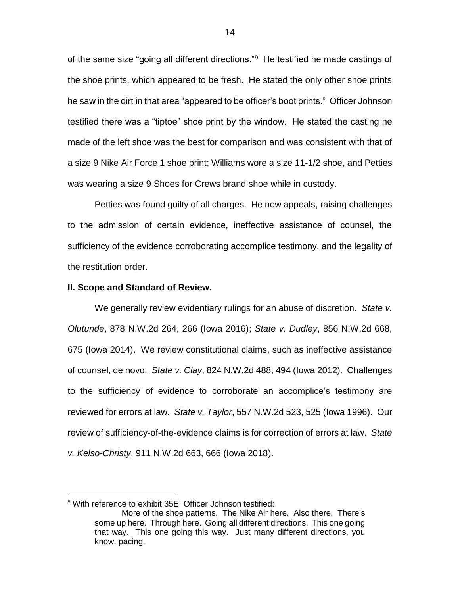of the same size "going all different directions."<sup>9</sup> He testified he made castings of the shoe prints, which appeared to be fresh. He stated the only other shoe prints he saw in the dirt in that area "appeared to be officer's boot prints." Officer Johnson testified there was a "tiptoe" shoe print by the window. He stated the casting he made of the left shoe was the best for comparison and was consistent with that of a size 9 Nike Air Force 1 shoe print; Williams wore a size 11-1/2 shoe, and Petties was wearing a size 9 Shoes for Crews brand shoe while in custody.

Petties was found guilty of all charges. He now appeals, raising challenges to the admission of certain evidence, ineffective assistance of counsel, the sufficiency of the evidence corroborating accomplice testimony, and the legality of the restitution order.

#### **II. Scope and Standard of Review.**

We generally review evidentiary rulings for an abuse of discretion. *State v. Olutunde*, 878 N.W.2d 264, 266 (Iowa 2016); *State v. Dudley*, 856 N.W.2d 668, 675 (Iowa 2014). We review constitutional claims, such as ineffective assistance of counsel, de novo. *State v. Clay*, 824 N.W.2d 488, 494 (Iowa 2012). Challenges to the sufficiency of evidence to corroborate an accomplice's testimony are reviewed for errors at law. *State v. Taylor*, 557 N.W.2d 523, 525 (Iowa 1996). Our review of sufficiency-of-the-evidence claims is for correction of errors at law. *State v. Kelso-Christy*, 911 N.W.2d 663, 666 (Iowa 2018).

<sup>&</sup>lt;sup>9</sup> With reference to exhibit 35E, Officer Johnson testified:

More of the shoe patterns. The Nike Air here. Also there. There's some up here. Through here. Going all different directions. This one going that way. This one going this way. Just many different directions, you know, pacing.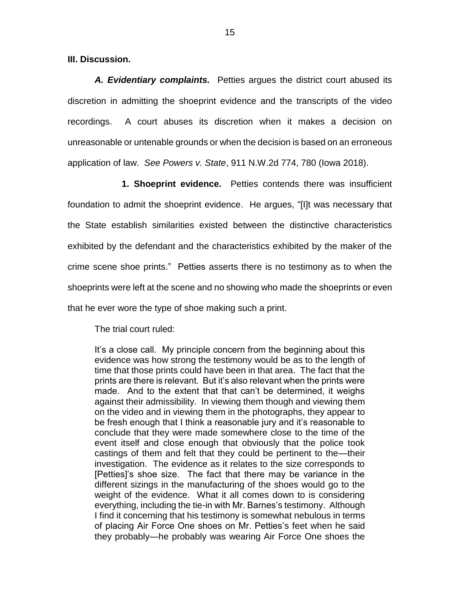**III. Discussion.**

*A. Evidentiary complaints.* Petties argues the district court abused its discretion in admitting the shoeprint evidence and the transcripts of the video recordings. A court abuses its discretion when it makes a decision on unreasonable or untenable grounds or when the decision is based on an erroneous application of law. *See Powers v. State*, 911 N.W.2d 774, 780 (Iowa 2018).

**1. Shoeprint evidence.** Petties contends there was insufficient foundation to admit the shoeprint evidence. He argues, "[I]t was necessary that the State establish similarities existed between the distinctive characteristics exhibited by the defendant and the characteristics exhibited by the maker of the crime scene shoe prints." Petties asserts there is no testimony as to when the shoeprints were left at the scene and no showing who made the shoeprints or even that he ever wore the type of shoe making such a print.

The trial court ruled:

It's a close call. My principle concern from the beginning about this evidence was how strong the testimony would be as to the length of time that those prints could have been in that area. The fact that the prints are there is relevant. But it's also relevant when the prints were made. And to the extent that that can't be determined, it weighs against their admissibility. In viewing them though and viewing them on the video and in viewing them in the photographs, they appear to be fresh enough that I think a reasonable jury and it's reasonable to conclude that they were made somewhere close to the time of the event itself and close enough that obviously that the police took castings of them and felt that they could be pertinent to the—their investigation. The evidence as it relates to the size corresponds to [Petties]'s shoe size. The fact that there may be variance in the different sizings in the manufacturing of the shoes would go to the weight of the evidence. What it all comes down to is considering everything, including the tie-in with Mr. Barnes's testimony. Although I find it concerning that his testimony is somewhat nebulous in terms of placing Air Force One shoes on Mr. Petties's feet when he said they probably—he probably was wearing Air Force One shoes the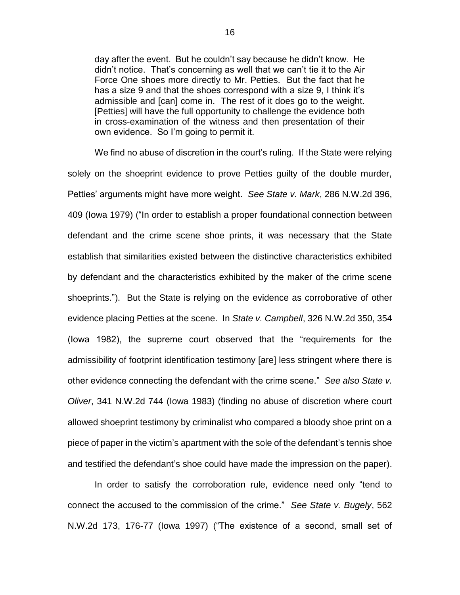day after the event. But he couldn't say because he didn't know. He didn't notice. That's concerning as well that we can't tie it to the Air Force One shoes more directly to Mr. Petties. But the fact that he has a size 9 and that the shoes correspond with a size 9, I think it's admissible and [can] come in. The rest of it does go to the weight. [Petties] will have the full opportunity to challenge the evidence both in cross-examination of the witness and then presentation of their own evidence. So I'm going to permit it.

We find no abuse of discretion in the court's ruling. If the State were relying solely on the shoeprint evidence to prove Petties guilty of the double murder, Petties' arguments might have more weight. *See State v. Mark*, 286 N.W.2d 396, 409 (Iowa 1979) ("In order to establish a proper foundational connection between defendant and the crime scene shoe prints, it was necessary that the State establish that similarities existed between the distinctive characteristics exhibited by defendant and the characteristics exhibited by the maker of the crime scene shoeprints."). But the State is relying on the evidence as corroborative of other evidence placing Petties at the scene. In *State v. Campbell*, 326 N.W.2d 350, 354 (Iowa 1982), the supreme court observed that the "requirements for the admissibility of footprint identification testimony [are] less stringent where there is other evidence connecting the defendant with the crime scene." *See also State v. Oliver*, 341 N.W.2d 744 (Iowa 1983) (finding no abuse of discretion where court allowed shoeprint testimony by criminalist who compared a bloody shoe print on a piece of paper in the victim's apartment with the sole of the defendant's tennis shoe and testified the defendant's shoe could have made the impression on the paper).

In order to satisfy the corroboration rule, evidence need only "tend to connect the accused to the commission of the crime." *See State v. Bugely*, 562 N.W.2d 173, 176-77 (Iowa 1997) ("The existence of a second, small set of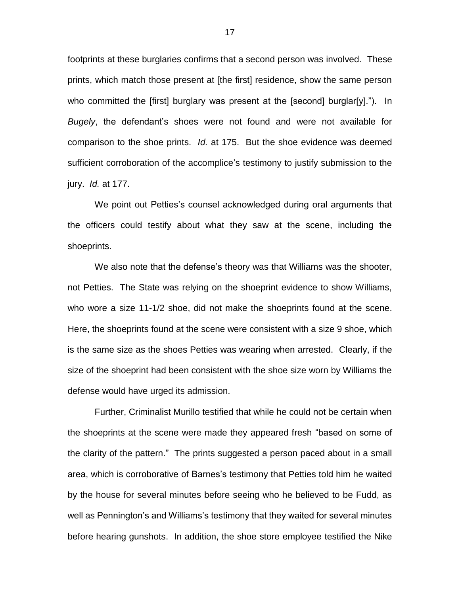footprints at these burglaries confirms that a second person was involved. These prints, which match those present at [the first] residence, show the same person who committed the [first] burglary was present at the [second] burglar[y]."). In *Bugely*, the defendant's shoes were not found and were not available for comparison to the shoe prints. *Id.* at 175. But the shoe evidence was deemed sufficient corroboration of the accomplice's testimony to justify submission to the jury. *Id.* at 177.

We point out Petties's counsel acknowledged during oral arguments that the officers could testify about what they saw at the scene, including the shoeprints.

We also note that the defense's theory was that Williams was the shooter, not Petties. The State was relying on the shoeprint evidence to show Williams, who wore a size 11-1/2 shoe, did not make the shoeprints found at the scene. Here, the shoeprints found at the scene were consistent with a size 9 shoe, which is the same size as the shoes Petties was wearing when arrested. Clearly, if the size of the shoeprint had been consistent with the shoe size worn by Williams the defense would have urged its admission.

Further, Criminalist Murillo testified that while he could not be certain when the shoeprints at the scene were made they appeared fresh "based on some of the clarity of the pattern." The prints suggested a person paced about in a small area, which is corroborative of Barnes's testimony that Petties told him he waited by the house for several minutes before seeing who he believed to be Fudd, as well as Pennington's and Williams's testimony that they waited for several minutes before hearing gunshots. In addition, the shoe store employee testified the Nike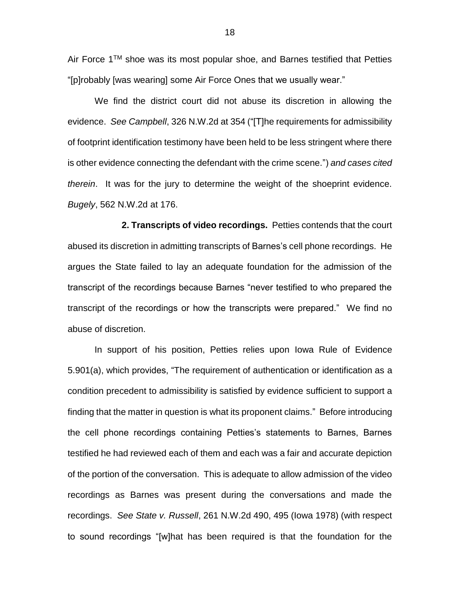Air Force  $1<sup>TM</sup>$  shoe was its most popular shoe, and Barnes testified that Petties "[p]robably [was wearing] some Air Force Ones that we usually wear."

We find the district court did not abuse its discretion in allowing the evidence. *See Campbell*, 326 N.W.2d at 354 ("[T]he requirements for admissibility of footprint identification testimony have been held to be less stringent where there is other evidence connecting the defendant with the crime scene.") *and cases cited therein*. It was for the jury to determine the weight of the shoeprint evidence. *Bugely*, 562 N.W.2d at 176.

**2. Transcripts of video recordings.** Petties contends that the court abused its discretion in admitting transcripts of Barnes's cell phone recordings. He argues the State failed to lay an adequate foundation for the admission of the transcript of the recordings because Barnes "never testified to who prepared the transcript of the recordings or how the transcripts were prepared." We find no abuse of discretion.

In support of his position, Petties relies upon Iowa Rule of Evidence 5.901(a), which provides, "The requirement of authentication or identification as a condition precedent to admissibility is satisfied by evidence sufficient to support a finding that the matter in question is what its proponent claims." Before introducing the cell phone recordings containing Petties's statements to Barnes, Barnes testified he had reviewed each of them and each was a fair and accurate depiction of the portion of the conversation. This is adequate to allow admission of the video recordings as Barnes was present during the conversations and made the recordings. *See State v. Russell*, 261 N.W.2d 490, 495 (Iowa 1978) (with respect to sound recordings "[w]hat has been required is that the foundation for the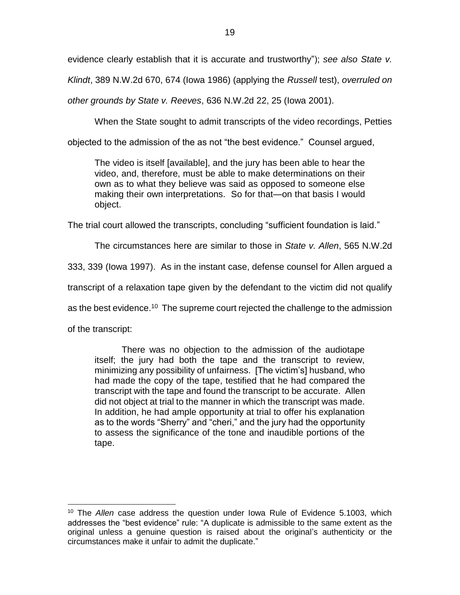evidence clearly establish that it is accurate and trustworthy"); *see also State v.* 

*Klindt*, 389 N.W.2d 670, 674 (Iowa 1986) (applying the *Russell* test), *overruled on* 

*other grounds by State v. Reeves*, 636 N.W.2d 22, 25 (Iowa 2001).

When the State sought to admit transcripts of the video recordings, Petties

objected to the admission of the as not "the best evidence." Counsel argued,

The video is itself [available], and the jury has been able to hear the video, and, therefore, must be able to make determinations on their own as to what they believe was said as opposed to someone else making their own interpretations. So for that—on that basis I would object.

The trial court allowed the transcripts, concluding "sufficient foundation is laid."

The circumstances here are similar to those in *State v. Allen*, 565 N.W.2d

333, 339 (Iowa 1997). As in the instant case, defense counsel for Allen argued a

transcript of a relaxation tape given by the defendant to the victim did not qualify

as the best evidence.<sup>10</sup> The supreme court rejected the challenge to the admission

of the transcript:

 $\overline{a}$ 

There was no objection to the admission of the audiotape itself; the jury had both the tape and the transcript to review, minimizing any possibility of unfairness. [The victim's] husband, who had made the copy of the tape, testified that he had compared the transcript with the tape and found the transcript to be accurate. Allen did not object at trial to the manner in which the transcript was made. In addition, he had ample opportunity at trial to offer his explanation as to the words "Sherry" and "cheri," and the jury had the opportunity to assess the significance of the tone and inaudible portions of the tape.

<sup>10</sup> The *Allen* case address the question under Iowa Rule of Evidence 5.1003, which addresses the "best evidence" rule: "A duplicate is admissible to the same extent as the original unless a genuine question is raised about the original's authenticity or the circumstances make it unfair to admit the duplicate."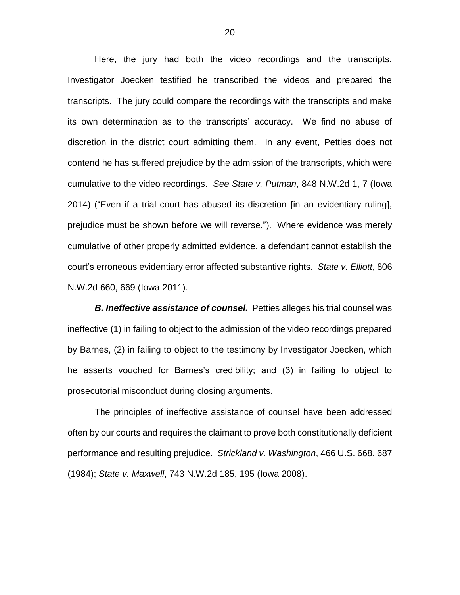Here, the jury had both the video recordings and the transcripts. Investigator Joecken testified he transcribed the videos and prepared the transcripts. The jury could compare the recordings with the transcripts and make its own determination as to the transcripts' accuracy. We find no abuse of discretion in the district court admitting them. In any event, Petties does not contend he has suffered prejudice by the admission of the transcripts, which were cumulative to the video recordings. *See State v. Putman*, 848 N.W.2d 1, 7 (Iowa 2014) ("Even if a trial court has abused its discretion [in an evidentiary ruling], prejudice must be shown before we will reverse."). Where evidence was merely cumulative of other properly admitted evidence, a defendant cannot establish the court's erroneous evidentiary error affected substantive rights. *State v. Elliott*, 806 N.W.2d 660, 669 (Iowa 2011).

*B. Ineffective assistance of counsel.* Petties alleges his trial counsel was ineffective (1) in failing to object to the admission of the video recordings prepared by Barnes, (2) in failing to object to the testimony by Investigator Joecken, which he asserts vouched for Barnes's credibility; and (3) in failing to object to prosecutorial misconduct during closing arguments.

The principles of ineffective assistance of counsel have been addressed often by our courts and requires the claimant to prove both constitutionally deficient performance and resulting prejudice. *Strickland v. Washington*, 466 U.S. 668, 687 (1984); *State v. Maxwell*, 743 N.W.2d 185, 195 (Iowa 2008).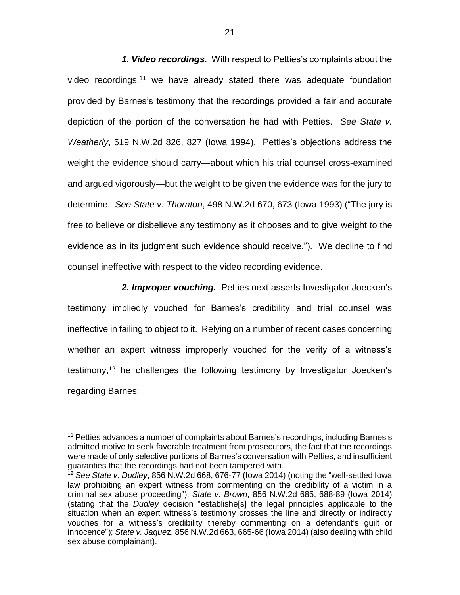*1. Video recordings.* With respect to Petties's complaints about the video recordings,<sup>11</sup> we have already stated there was adequate foundation provided by Barnes's testimony that the recordings provided a fair and accurate depiction of the portion of the conversation he had with Petties. *See State v. Weatherly*, 519 N.W.2d 826, 827 (Iowa 1994). Petties's objections address the weight the evidence should carry—about which his trial counsel cross-examined and argued vigorously—but the weight to be given the evidence was for the jury to determine. *See State v. Thornton*, 498 N.W.2d 670, 673 (Iowa 1993) ("The jury is free to believe or disbelieve any testimony as it chooses and to give weight to the evidence as in its judgment such evidence should receive."). We decline to find counsel ineffective with respect to the video recording evidence.

*2. Improper vouching.* Petties next asserts Investigator Joecken's testimony impliedly vouched for Barnes's credibility and trial counsel was ineffective in failing to object to it. Relying on a number of recent cases concerning whether an expert witness improperly vouched for the verity of a witness's testimony, <sup>12</sup> he challenges the following testimony by Investigator Joecken's regarding Barnes:

<sup>&</sup>lt;sup>11</sup> Petties advances a number of complaints about Barnes's recordings, including Barnes's admitted motive to seek favorable treatment from prosecutors, the fact that the recordings were made of only selective portions of Barnes's conversation with Petties, and insufficient guaranties that the recordings had not been tampered with.

<sup>12</sup> *See State v. Dudley*, 856 N.W.2d 668, 676-77 (Iowa 2014) (noting the "well-settled Iowa law prohibiting an expert witness from commenting on the credibility of a victim in a criminal sex abuse proceeding"); *State v. Brown*, 856 N.W.2d 685, 688-89 (Iowa 2014) (stating that the *Dudley* decision "establishe[s] the legal principles applicable to the situation when an expert witness's testimony crosses the line and directly or indirectly vouches for a witness's credibility thereby commenting on a defendant's guilt or innocence"); *State v. Jaque*z, 856 N.W.2d 663, 665-66 (Iowa 2014) (also dealing with child sex abuse complainant).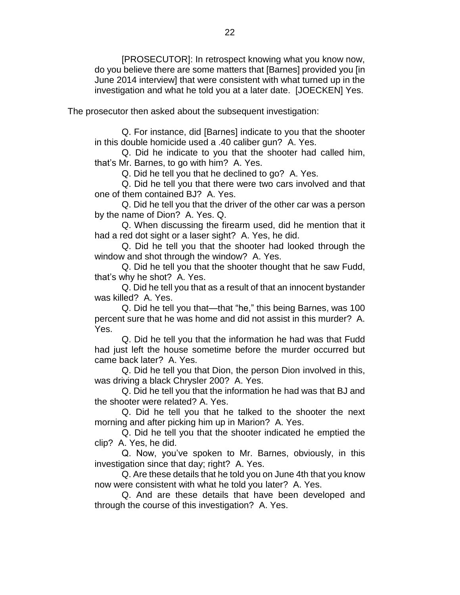[PROSECUTOR]: In retrospect knowing what you know now, do you believe there are some matters that [Barnes] provided you [in June 2014 interview] that were consistent with what turned up in the investigation and what he told you at a later date. [JOECKEN] Yes.

The prosecutor then asked about the subsequent investigation:

Q. For instance, did [Barnes] indicate to you that the shooter in this double homicide used a .40 caliber gun? A. Yes.

Q. Did he indicate to you that the shooter had called him, that's Mr. Barnes, to go with him? A. Yes.

Q. Did he tell you that he declined to go? A. Yes.

Q. Did he tell you that there were two cars involved and that one of them contained BJ? A. Yes.

Q. Did he tell you that the driver of the other car was a person by the name of Dion? A. Yes. Q.

Q. When discussing the firearm used, did he mention that it had a red dot sight or a laser sight? A. Yes, he did.

Q. Did he tell you that the shooter had looked through the window and shot through the window? A. Yes.

Q. Did he tell you that the shooter thought that he saw Fudd, that's why he shot? A. Yes.

Q. Did he tell you that as a result of that an innocent bystander was killed? A. Yes.

Q. Did he tell you that—that "he," this being Barnes, was 100 percent sure that he was home and did not assist in this murder? A. Yes.

Q. Did he tell you that the information he had was that Fudd had just left the house sometime before the murder occurred but came back later? A. Yes.

Q. Did he tell you that Dion, the person Dion involved in this, was driving a black Chrysler 200? A. Yes.

Q. Did he tell you that the information he had was that BJ and the shooter were related? A. Yes.

Q. Did he tell you that he talked to the shooter the next morning and after picking him up in Marion? A. Yes.

Q. Did he tell you that the shooter indicated he emptied the clip? A. Yes, he did.

Q. Now, you've spoken to Mr. Barnes, obviously, in this investigation since that day; right? A. Yes.

Q. Are these details that he told you on June 4th that you know now were consistent with what he told you later? A. Yes.

Q. And are these details that have been developed and through the course of this investigation? A. Yes.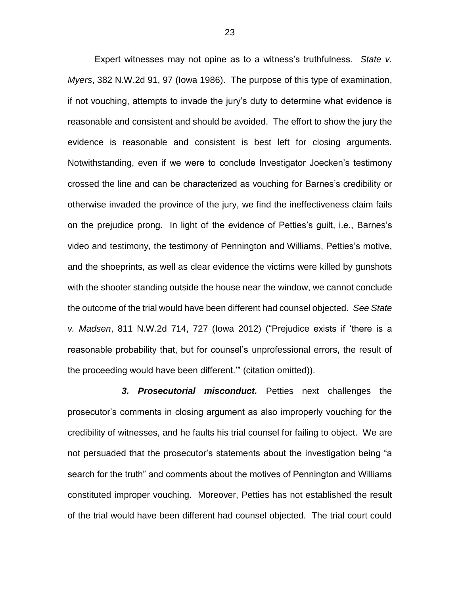Expert witnesses may not opine as to a witness's truthfulness. *State v. Myers*, 382 N.W.2d 91, 97 (Iowa 1986). The purpose of this type of examination, if not vouching, attempts to invade the jury's duty to determine what evidence is reasonable and consistent and should be avoided. The effort to show the jury the evidence is reasonable and consistent is best left for closing arguments. Notwithstanding, even if we were to conclude Investigator Joecken's testimony crossed the line and can be characterized as vouching for Barnes's credibility or otherwise invaded the province of the jury, we find the ineffectiveness claim fails on the prejudice prong. In light of the evidence of Petties's guilt, i.e., Barnes's video and testimony, the testimony of Pennington and Williams, Petties's motive, and the shoeprints, as well as clear evidence the victims were killed by gunshots with the shooter standing outside the house near the window, we cannot conclude the outcome of the trial would have been different had counsel objected. *See State v. Madsen*, 811 N.W.2d 714, 727 (Iowa 2012) ("Prejudice exists if 'there is a reasonable probability that, but for counsel's unprofessional errors, the result of the proceeding would have been different.'" (citation omitted)).

*3. Prosecutorial misconduct.* Petties next challenges the prosecutor's comments in closing argument as also improperly vouching for the credibility of witnesses, and he faults his trial counsel for failing to object. We are not persuaded that the prosecutor's statements about the investigation being "a search for the truth" and comments about the motives of Pennington and Williams constituted improper vouching. Moreover, Petties has not established the result of the trial would have been different had counsel objected. The trial court could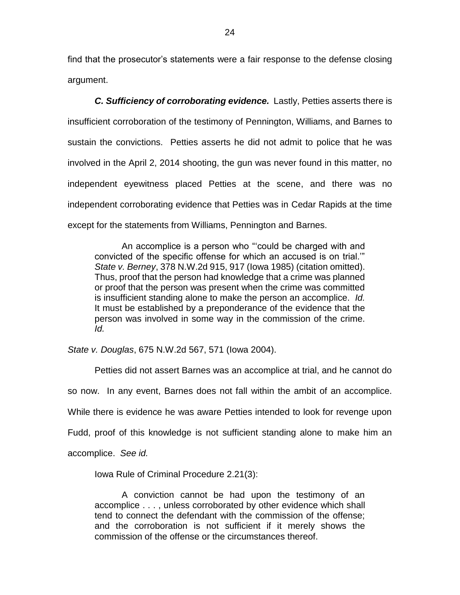find that the prosecutor's statements were a fair response to the defense closing argument.

*C. Sufficiency of corroborating evidence.* Lastly, Petties asserts there is insufficient corroboration of the testimony of Pennington, Williams, and Barnes to sustain the convictions. Petties asserts he did not admit to police that he was involved in the April 2, 2014 shooting, the gun was never found in this matter, no independent eyewitness placed Petties at the scene, and there was no independent corroborating evidence that Petties was in Cedar Rapids at the time except for the statements from Williams, Pennington and Barnes.

An accomplice is a person who "'could be charged with and convicted of the specific offense for which an accused is on trial.'" *State v. Berney*, 378 N.W.2d 915, 917 (Iowa 1985) (citation omitted). Thus, proof that the person had knowledge that a crime was planned or proof that the person was present when the crime was committed is insufficient standing alone to make the person an accomplice. *Id.*  It must be established by a preponderance of the evidence that the person was involved in some way in the commission of the crime. *Id.*

*State v. Douglas*, 675 N.W.2d 567, 571 (Iowa 2004).

Petties did not assert Barnes was an accomplice at trial, and he cannot do so now. In any event, Barnes does not fall within the ambit of an accomplice. While there is evidence he was aware Petties intended to look for revenge upon Fudd, proof of this knowledge is not sufficient standing alone to make him an accomplice. *See id.*

Iowa Rule of Criminal Procedure 2.21(3):

A conviction cannot be had upon the testimony of an accomplice . . . , unless corroborated by other evidence which shall tend to connect the defendant with the commission of the offense; and the corroboration is not sufficient if it merely shows the commission of the offense or the circumstances thereof.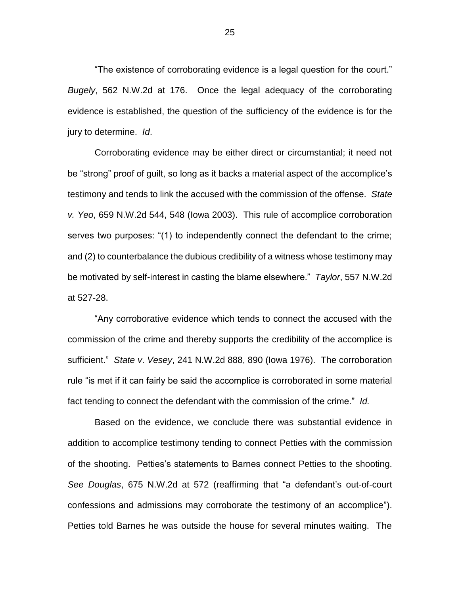"The existence of corroborating evidence is a legal question for the court." *Bugely*, 562 N.W.2d at 176. Once the legal adequacy of the corroborating evidence is established, the question of the sufficiency of the evidence is for the jury to determine. *Id*.

Corroborating evidence may be either direct or circumstantial; it need not be "strong" proof of guilt, so long as it backs a material aspect of the accomplice's testimony and tends to link the accused with the commission of the offense. *State v. Yeo*, 659 N.W.2d 544, 548 (Iowa 2003). This rule of accomplice corroboration serves two purposes: "(1) to independently connect the defendant to the crime; and (2) to counterbalance the dubious credibility of a witness whose testimony may be motivated by self-interest in casting the blame elsewhere." *Taylor*, 557 N.W.2d at 527-28.

"Any corroborative evidence which tends to connect the accused with the commission of the crime and thereby supports the credibility of the accomplice is sufficient." *State v*. *Vesey*, 241 N.W.2d 888, 890 (Iowa 1976). The corroboration rule "is met if it can fairly be said the accomplice is corroborated in some material fact tending to connect the defendant with the commission of the crime." *Id.* 

Based on the evidence, we conclude there was substantial evidence in addition to accomplice testimony tending to connect Petties with the commission of the shooting. Petties's statements to Barnes connect Petties to the shooting. *See Douglas*, 675 N.W.2d at 572 (reaffirming that "a defendant's out-of-court confessions and admissions may corroborate the testimony of an accomplice"). Petties told Barnes he was outside the house for several minutes waiting. The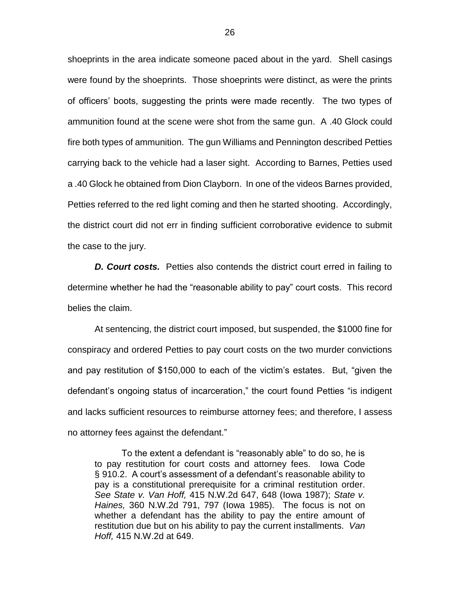shoeprints in the area indicate someone paced about in the yard. Shell casings were found by the shoeprints. Those shoeprints were distinct, as were the prints of officers' boots, suggesting the prints were made recently. The two types of ammunition found at the scene were shot from the same gun. A .40 Glock could fire both types of ammunition. The gun Williams and Pennington described Petties carrying back to the vehicle had a laser sight. According to Barnes, Petties used a .40 Glock he obtained from Dion Clayborn. In one of the videos Barnes provided, Petties referred to the red light coming and then he started shooting. Accordingly, the district court did not err in finding sufficient corroborative evidence to submit the case to the jury.

**D. Court costs.** Petties also contends the district court erred in failing to determine whether he had the "reasonable ability to pay" court costs. This record belies the claim.

At sentencing, the district court imposed, but suspended, the \$1000 fine for conspiracy and ordered Petties to pay court costs on the two murder convictions and pay restitution of \$150,000 to each of the victim's estates. But, "given the defendant's ongoing status of incarceration," the court found Petties "is indigent and lacks sufficient resources to reimburse attorney fees; and therefore, I assess no attorney fees against the defendant."

To the extent a defendant is "reasonably able" to do so, he is to pay restitution for court costs and attorney fees. Iowa Code § 910.2. A court's assessment of a defendant's reasonable ability to pay is a constitutional prerequisite for a criminal restitution order. *See State v. Van Hoff,* 415 N.W.2d 647, 648 (Iowa 1987); *State v. Haines,* 360 N.W.2d 791, 797 (Iowa 1985). The focus is not on whether a defendant has the ability to pay the entire amount of restitution due but on his ability to pay the current installments. *Van Hoff,* 415 N.W.2d at 649.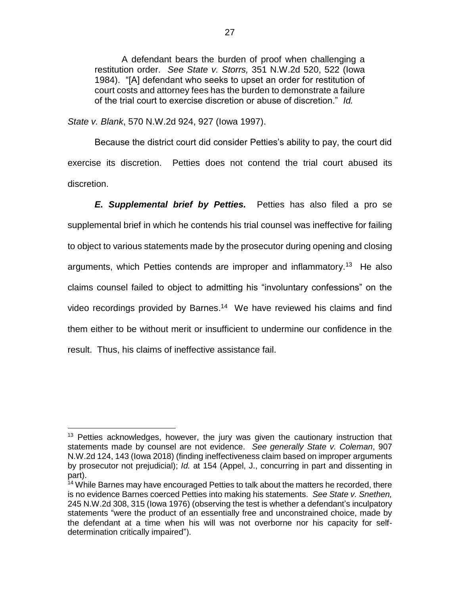A defendant bears the burden of proof when challenging a restitution order. *See State v. Storrs,* 351 N.W.2d 520, 522 (Iowa 1984). "[A] defendant who seeks to upset an order for restitution of court costs and attorney fees has the burden to demonstrate a failure of the trial court to exercise discretion or abuse of discretion." *Id.*

*State v. Blank*, 570 N.W.2d 924, 927 (Iowa 1997).

Because the district court did consider Petties's ability to pay, the court did exercise its discretion. Petties does not contend the trial court abused its discretion.

*E. Supplemental brief by Petties.* Petties has also filed a pro se supplemental brief in which he contends his trial counsel was ineffective for failing to object to various statements made by the prosecutor during opening and closing arguments, which Petties contends are improper and inflammatory.<sup>13</sup> He also claims counsel failed to object to admitting his "involuntary confessions" on the video recordings provided by Barnes. 14 We have reviewed his claims and find them either to be without merit or insufficient to undermine our confidence in the result. Thus, his claims of ineffective assistance fail.

 $\overline{a}$  $13$  Petties acknowledges, however, the jury was given the cautionary instruction that statements made by counsel are not evidence. *See generally State v. Coleman*, 907 N.W.2d 124, 143 (Iowa 2018) (finding ineffectiveness claim based on improper arguments by prosecutor not prejudicial); *Id.* at 154 (Appel, J., concurring in part and dissenting in part).

<sup>&</sup>lt;sup>14</sup> While Barnes may have encouraged Petties to talk about the matters he recorded, there is no evidence Barnes coerced Petties into making his statements. *See State v. Snethen,*  245 N.W.2d 308, 315 (Iowa 1976) (observing the test is whether a defendant's inculpatory statements "were the product of an essentially free and unconstrained choice, made by the defendant at a time when his will was not overborne nor his capacity for selfdetermination critically impaired").